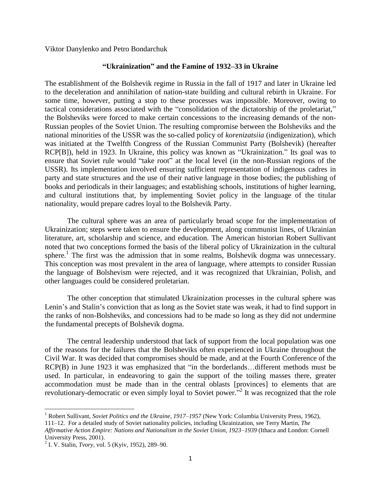Viktor Danylenko and Petro Bondarchuk

## **"Ukrainization" and the Famine of 1932–33 in Ukraine**

The establishment of the Bolshevik regime in Russia in the fall of 1917 and later in Ukraine led to the deceleration and annihilation of nation-state building and cultural rebirth in Ukraine. For some time, however, putting a stop to these processes was impossible. Moreover, owing to tactical considerations associated with the "consolidation of the dictatorship of the proletariat," the Bolsheviks were forced to make certain concessions to the increasing demands of the non-Russian peoples of the Soviet Union. The resulting compromise between the Bolsheviks and the national minorities of the USSR was the so-called policy of *korenizatsiia* (indigenization), which was initiated at the Twelfth Congress of the Russian Communist Party (Bolshevik) (hereafter RCP[B]), held in 1923. In Ukraine, this policy was known as "Ukrainization." Its goal was to ensure that Soviet rule would "take root" at the local level (in the non-Russian regions of the USSR). Its implementation involved ensuring sufficient representation of indigenous cadres in party and state structures and the use of their native language in those bodies; the publishing of books and periodicals in their languages; and establishing schools, institutions of higher learning, and cultural institutions that, by implementing Soviet policy in the language of the titular nationality, would prepare cadres loyal to the Bolshevik Party.

The cultural sphere was an area of particularly broad scope for the implementation of Ukrainization; steps were taken to ensure the development, along communist lines, of Ukrainian literature, art, scholarship and science, and education. The American historian Robert Sullivant noted that two conceptions formed the basis of the liberal policy of Ukrainization in the cultural sphere.<sup>1</sup> The first was the admission that in some realms, Bolshevik dogma was unnecessary. This conception was most prevalent in the area of language, where attempts to consider Russian the language of Bolshevism were rejected, and it was recognized that Ukrainian, Polish, and other languages could be considered proletarian.

The other conception that stimulated Ukrainization processes in the cultural sphere was Lenin's and Stalin's conviction that as long as the Soviet state was weak, it had to find support in the ranks of non-Bolsheviks, and concessions had to be made so long as they did not undermine the fundamental precepts of Bolshevik dogma.

The central leadership understood that lack of support from the local population was one of the reasons for the failures that the Bolsheviks often experienced in Ukraine throughout the Civil War. It was decided that compromises should be made, and at the Fourth Conference of the  $RCP(B)$  in June 1923 it was emphasized that "in the borderlands... different methods must be used. In particular, in endeavoring to gain the support of the toiling masses there, greater accommodation must be made than in the central oblasts [provinces] to elements that are revolutionary-democratic or even simply loyal to Soviet power. $\frac{1}{2}$  It was recognized that the role

 $\overline{a}$ <sup>1</sup> Robert Sullivant, *Soviet Politics and the Ukraine, 1917–1957* (New York: Columbia University Press, 1962), 111–12. For a detailed study of Soviet nationality policies, including Ukrainization, see Terry Martin, *The Affirmative Action Empire: Nations and Nationalism in the Soviet Union, 1923–1939* (Ithaca and London: Cornell University Press, 2001).

<sup>2</sup> I. V. Stalin, *Tvory*, vol. 5 (Kyiv, 1952), 289–90.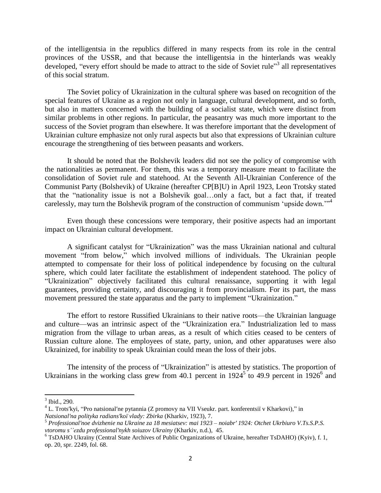of the intelligentsia in the republics differed in many respects from its role in the central provinces of the USSR, and that because the intelligentsia in the hinterlands was weakly developed, "every effort should be made to attract to the side of Soviet rule"<sup>3</sup> all representatives of this social stratum.

The Soviet policy of Ukrainization in the cultural sphere was based on recognition of the special features of Ukraine as a region not only in language, cultural development, and so forth, but also in matters concerned with the building of a socialist state, which were distinct from similar problems in other regions. In particular, the peasantry was much more important to the success of the Soviet program than elsewhere. It was therefore important that the development of Ukrainian culture emphasize not only rural aspects but also that expressions of Ukrainian culture encourage the strengthening of ties between peasants and workers.

It should be noted that the Bolshevik leaders did not see the policy of compromise with the nationalities as permanent. For them, this was a temporary measure meant to facilitate the consolidation of Soviet rule and statehood. At the Seventh All-Ukrainian Conference of the Communist Party (Bolshevik) of Ukraine (hereafter CP[B]U) in April 1923, Leon Trotsky stated that the "nationality issue is not a Bolshevik goal...only a fact, but a fact that, if treated carelessly, may turn the Bolshevik program of the construction of communism 'upside down.'<sup>34</sup>

Even though these concessions were temporary, their positive aspects had an important impact on Ukrainian cultural development.

A significant catalyst for "Ukrainization" was the mass Ukrainian national and cultural movement "from below," which involved millions of individuals. The Ukrainian people attempted to compensate for their loss of political independence by focusing on the cultural sphere, which could later facilitate the establishment of independent statehood. The policy of ―Ukrainization‖ objectively facilitated this cultural renaissance, supporting it with legal guarantees, providing certainty, and discouraging it from provincialism. For its part, the mass movement pressured the state apparatus and the party to implement "Ukrainization."

The effort to restore Russified Ukrainians to their native roots—the Ukrainian language and culture—was an intrinsic aspect of the "Ukrainization era." Industrialization led to mass migration from the village to urban areas, as a result of which cities ceased to be centers of Russian culture alone. The employees of state, party, union, and other apparatuses were also Ukrainized, for inability to speak Ukrainian could mean the loss of their jobs.

The intensity of the process of "Ukrainization" is attested by statistics. The proportion of Ukrainians in the working class grew from 40.1 percent in  $1924^5$  to 49.9 percent in  $1926^6$  and

 $\overline{\phantom{a}}$ 

 $3$  Ibid., 290.

 $4$  L. Trots'kyi, "Pro natsional'ne pytannia (Z promovy na VII Vseukr. part. konferentsiï v Kharkovi)," in *Natsionalʹna polityka radiansʹkoї vlady: Zbirka* (Kharkiv, 1923), 7.

<sup>5</sup> *Professionalʹnoe dvizhenie na Ukraine za 18 mesiatsev: mai 1923 – noiabrʹ 1924: Otchet Ukrbiuro V.Ts.S.P.S. vtoromu s''ezdu professionalʹnykh soiuzov Ukrainy* (Kharkiv, n.d.), 45.

<sup>&</sup>lt;sup>6</sup> TsDAHO Ukraïny (Central State Archives of Public Organizations of Ukraine, hereafter TsDAHO) (Kyiv), f. 1, op. 20, spr. 2249, fol. 68.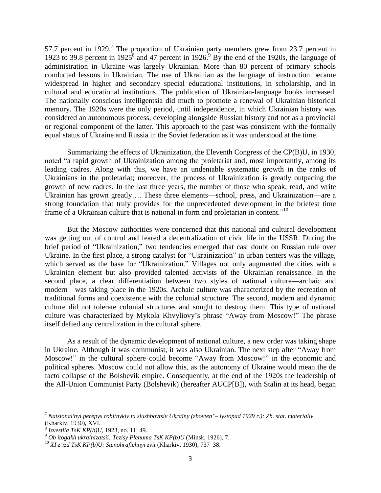57.7 percent in 1929.<sup>7</sup> The proportion of Ukrainian party members grew from 23.7 percent in 1923 to 39.8 percent in 1925<sup>8</sup> and 47 percent in 1926.<sup>9</sup> By the end of the 1920s, the language of administration in Ukraine was largely Ukrainian. More than 80 percent of primary schools conducted lessons in Ukrainian. The use of Ukrainian as the language of instruction became widespread in higher and secondary special educational institutions, in scholarship, and in cultural and educational institutions. The publication of Ukrainian-language books increased. The nationally conscious intelligentsia did much to promote a renewal of Ukrainian historical memory. The 1920s were the only period, until independence, in which Ukrainian history was considered an autonomous process, developing alongside Russian history and not as a provincial or regional component of the latter. This approach to the past was consistent with the formally equal status of Ukraine and Russia in the Soviet federation as it was understood at the time.

Summarizing the effects of Ukrainization, the Eleventh Congress of the CP(B)U, in 1930, noted "a rapid growth of Ukrainization among the proletariat and, most importantly, among its leading cadres. Along with this, we have an undeniable systematic growth in the ranks of Ukrainians in the proletariat; moreover, the process of Ukrainization is greatly outpacing the growth of new cadres. In the last three years, the number of those who speak, read, and write Ukrainian has grown greatly…. These three elements—school, press, and Ukrainization—are a strong foundation that truly provides for the unprecedented development in the briefest time frame of a Ukrainian culture that is national in form and proletarian in content."<sup>10</sup>

But the Moscow authorities were concerned that this national and cultural development was getting out of control and feared a decentralization of civic life in the USSR. During the brief period of "Ukrainization," two tendencies emerged that cast doubt on Russian rule over Ukraine. In the first place, a strong catalyst for "Ukrainization" in urban centers was the village, which served as the base for "Ukrainization." Villages not only augmented the cities with a Ukrainian element but also provided talented activists of the Ukrainian renaissance. In the second place, a clear differentiation between two styles of national culture—archaic and modern—was taking place in the 1920s. Archaic culture was characterized by the recreation of traditional forms and coexistence with the colonial structure. The second, modern and dynamic culture did not tolerate colonial structures and sought to destroy them. This type of national culture was characterized by Mykola Khvyliovy's phrase "Away from Moscow!" The phrase itself defied any centralization in the cultural sphere.

As a result of the dynamic development of national culture, a new order was taking shape in Ukraine. Although it was communist, it was also Ukrainian. The next step after "Away from Moscow!" in the cultural sphere could become "Away from Moscow!" in the economic and political spheres. Moscow could not allow this, as the autonomy of Ukraine would mean the de facto collapse of the Bolshevik empire. Consequently, at the end of the 1920s the leadership of the All-Union Communist Party (Bolshevik) (hereafter AUCP[B]), with Stalin at its head, began

<sup>7</sup> *Natsionalʹnyi perepys robitnykiv ta sluzhbovtsiv Ukraїny (zhovtenʹ – lystopad 1929 r.): Zb. stat. materialiv* (Kharkiv, 1930), XVI.

<sup>8</sup> *Izvestiia TsK KP(b)U*, 1923, no. 11: 49.

<sup>9</sup> *Ob itogakh ukrainizatsii: Tezisy Plenuma TsK KP(b)U* (Minsk, 1926), 7.

<sup>10</sup> *XI z'їzd TsK KP(b)U: Stenohrafichnyi zvit* (Kharkiv, 1930), 737–38.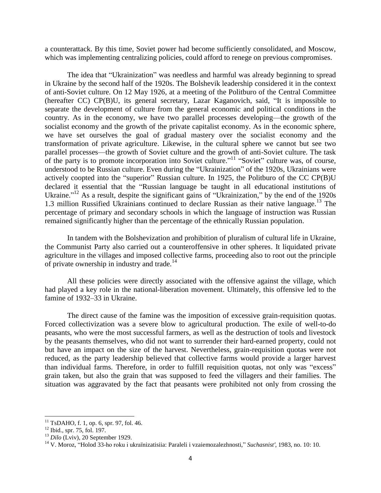a counterattack. By this time, Soviet power had become sufficiently consolidated, and Moscow, which was implementing centralizing policies, could afford to renege on previous compromises.

The idea that "Ukrainization" was needless and harmful was already beginning to spread in Ukraine by the second half of the 1920s. The Bolshevik leadership considered it in the context of anti-Soviet culture. On 12 May 1926, at a meeting of the Politburo of the Central Committee (hereafter  $CC$ )  $CP(B)U$ , its general secretary, Lazar Kaganovich, said, "It is impossible to separate the development of culture from the general economic and political conditions in the country. As in the economy, we have two parallel processes developing—the growth of the socialist economy and the growth of the private capitalist economy. As in the economic sphere, we have set ourselves the goal of gradual mastery over the socialist economy and the transformation of private agriculture. Likewise, in the cultural sphere we cannot but see two parallel processes—the growth of Soviet culture and the growth of anti-Soviet culture. The task of the party is to promote incorporation into Soviet culture."<sup>11</sup> "Soviet" culture was, of course, understood to be Russian culture. Even during the "Ukrainization" of the 1920s, Ukrainians were actively coopted into the "superior" Russian culture. In 1925, the Politburo of the CC CP(B)U declared it essential that the "Russian language be taught in all educational institutions of Ukraine."<sup>12</sup> As a result, despite the significant gains of "Ukrainization," by the end of the 1920s 1.3 million Russified Ukrainians continued to declare Russian as their native language.<sup>13</sup> The percentage of primary and secondary schools in which the language of instruction was Russian remained significantly higher than the percentage of the ethnically Russian population.

In tandem with the Bolshevization and prohibition of pluralism of cultural life in Ukraine, the Communist Party also carried out a counteroffensive in other spheres. It liquidated private agriculture in the villages and imposed collective farms, proceeding also to root out the principle of private ownership in industry and trade. $14$ 

All these policies were directly associated with the offensive against the village, which had played a key role in the national-liberation movement. Ultimately, this offensive led to the famine of 1932–33 in Ukraine.

The direct cause of the famine was the imposition of excessive grain-requisition quotas. Forced collectivization was a severe blow to agricultural production. The exile of well-to-do peasants, who were the most successful farmers, as well as the destruction of tools and livestock by the peasants themselves, who did not want to surrender their hard-earned property, could not but have an impact on the size of the harvest. Nevertheless, grain-requisition quotas were not reduced, as the party leadership believed that collective farms would provide a larger harvest than individual farms. Therefore, in order to fulfill requisition quotas, not only was "excess" grain taken, but also the grain that was supposed to feed the villagers and their families. The situation was aggravated by the fact that peasants were prohibited not only from crossing the

 $\overline{\phantom{a}}$ 

 $11$  TsDAHO, f. 1, op. 6, spr. 97, fol. 46.

 $12$  Ibid., spr. 75, fol. 197.

<sup>13</sup> *Dilo* (Lviv), 20 September 1929.

<sup>&</sup>lt;sup>14</sup> V. Moroz, "Holod 33-ho roku i ukraïnizatisiia: Paraleli i vzaiemozalezhnosti," *Suchasnist'*, 1983, no. 10: 10.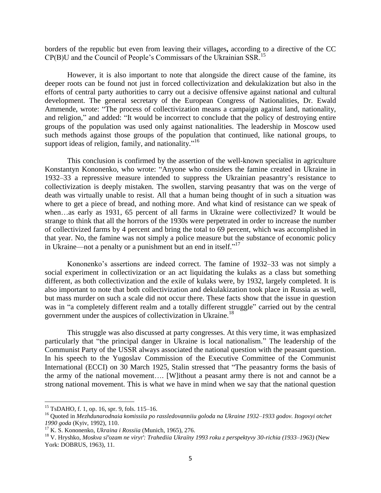borders of the republic but even from leaving their villages**,** according to a directive of the CC CP(B)U and the Council of People's Commissars of the Ukrainian SSR.<sup>15</sup>

However, it is also important to note that alongside the direct cause of the famine, its deeper roots can be found not just in forced collectivization and dekulakization but also in the efforts of central party authorities to carry out a decisive offensive against national and cultural development. The general secretary of the European Congress of Nationalities, Dr. Ewald Ammende, wrote: "The process of collectivization means a campaign against land, nationality, and religion," and added: "It would be incorrect to conclude that the policy of destroying entire groups of the population was used only against nationalities. The leadership in Moscow used such methods against those groups of the population that continued, like national groups, to support ideas of religion, family, and nationality."<sup>16</sup>

This conclusion is confirmed by the assertion of the well-known specialist in agriculture Konstantyn Kononenko, who wrote: "Anyone who considers the famine created in Ukraine in 1932–33 a repressive measure intended to suppress the Ukrainian peasantry's resistance to collectivization is deeply mistaken. The swollen, starving peasantry that was on the verge of death was virtually unable to resist. All that a human being thought of in such a situation was where to get a piece of bread, and nothing more. And what kind of resistance can we speak of when…as early as 1931, 65 percent of all farms in Ukraine were collectivized? It would be strange to think that all the horrors of the 1930s were perpetrated in order to increase the number of collectivized farms by 4 percent and bring the total to 69 percent, which was accomplished in that year. No, the famine was not simply a police measure but the substance of economic policy in Ukraine—not a penalty or a punishment but an end in itself."<sup>17</sup>

Kononenko's assertions are indeed correct. The famine of 1932–33 was not simply a social experiment in collectivization or an act liquidating the kulaks as a class but something different, as both collectivization and the exile of kulaks were, by 1932, largely completed. It is also important to note that both collectivization and dekulakization took place in Russia as well, but mass murder on such a scale did not occur there. These facts show that the issue in question was in "a completely different realm and a totally different struggle" carried out by the central government under the auspices of collectivization in Ukraine.<sup>18</sup>

This struggle was also discussed at party congresses. At this very time, it was emphasized particularly that "the principal danger in Ukraine is local nationalism." The leadership of the Communist Party of the USSR always associated the national question with the peasant question. In his speech to the Yugoslav Commission of the Executive Committee of the Communist International (ECCI) on 30 March 1925, Stalin stressed that "The peasantry forms the basis of the army of the national movement…. [W]ithout a peasant army there is not and cannot be a strong national movement. This is what we have in mind when we say that the national question

l

<sup>15</sup> TsDAHO, f. 1, op. 16, spr. 9, fols. 115–16.

<sup>16</sup> Quoted in *Mezhdunarodnaia komissiia po rassledovanniiu goloda na Ukraine 1932–1933 godov. Itogovyi otchet 1990 goda* (Kyiv, 1992), 110.

<sup>17</sup> K. S. Kononenko, *Ukraina i Rossiia* (Munich, 1965), 276.

<sup>18</sup> V. Hryshko, *Moskva slʹozam ne virytʹ: Trahediia Ukraїny 1993 roku z perspektyvy 30-richia (1933–1963)* (New York: DOBRUS, 1963), 11.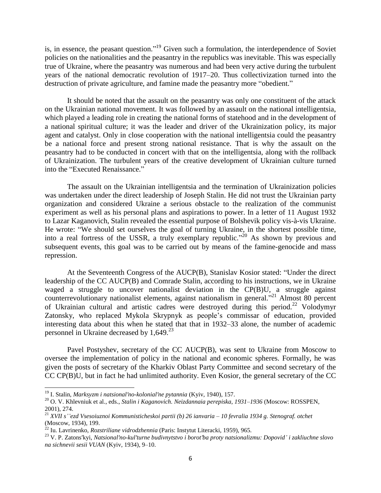is, in essence, the peasant question."<sup>19</sup> Given such a formulation, the interdependence of Soviet policies on the nationalities and the peasantry in the republics was inevitable. This was especially true of Ukraine, where the peasantry was numerous and had been very active during the turbulent years of the national democratic revolution of 1917–20. Thus collectivization turned into the destruction of private agriculture, and famine made the peasantry more "obedient."

It should be noted that the assault on the peasantry was only one constituent of the attack on the Ukrainian national movement. It was followed by an assault on the national intelligentsia, which played a leading role in creating the national forms of statehood and in the development of a national spiritual culture; it was the leader and driver of the Ukrainization policy, its major agent and catalyst. Only in close cooperation with the national intelligentsia could the peasantry be a national force and present strong national resistance. That is why the assault on the peasantry had to be conducted in concert with that on the intelligentsia, along with the rollback of Ukrainization. The turbulent years of the creative development of Ukrainian culture turned into the "Executed Renaissance."

The assault on the Ukrainian intelligentsia and the termination of Ukrainization policies was undertaken under the direct leadership of Joseph Stalin. He did not trust the Ukrainian party organization and considered Ukraine a serious obstacle to the realization of the communist experiment as well as his personal plans and aspirations to power. In a letter of 11 August 1932 to Lazar Kaganovich, Stalin revealed the essential purpose of Bolshevik policy vis-à-vis Ukraine. He wrote: "We should set ourselves the goal of turning Ukraine, in the shortest possible time, into a real fortress of the USSR, a truly exemplary republic."<sup>20</sup> As shown by previous and subsequent events, this goal was to be carried out by means of the famine-genocide and mass repression.

At the Seventeenth Congress of the AUCP(B), Stanislav Kosior stated: "Under the direct leadership of the CC AUCP(B) and Comrade Stalin, according to his instructions, we in Ukraine waged a struggle to uncover nationalist deviation in the CP(B)U, a struggle against counterrevolutionary nationalist elements, against nationalism in general."<sup>21</sup> Almost 80 percent of Ukrainian cultural and artistic cadres were destroyed during this period.<sup>22</sup> Volodymyr Zatonsky, who replaced Mykola Skrypnyk as people's commissar of education, provided interesting data about this when he stated that that in 1932–33 alone, the number of academic personnel in Ukraine decreased by  $1,649.^{23}$ 

Pavel Postyshev, secretary of the CC AUCP(B), was sent to Ukraine from Moscow to oversee the implementation of policy in the national and economic spheres. Formally, he was given the posts of secretary of the Kharkiv Oblast Party Committee and second secretary of the CC CP(B)U, but in fact he had unlimited authority. Even Kosior, the general secretary of the CC

<sup>19</sup> I. Stalin, *Marksyzm i natsionalʹno-kolonialʹne pytannia* (Kyiv, 1940), 157.

<sup>20</sup> O. V. Khlevniuk et al., eds., *Stalin i Kaganovich. Neizdannaia perepiska*, *1931–1936* (Moscow: ROSSPEN, 2001), 274.

<sup>21</sup> *XVII s''ezd Vsesoiuznoi Kommunisticheskoi partii (b) 26 ianvaria – 10 fevralia 1934 g. Stenograf. otchet* (Moscow, 1934), 199.

<sup>22</sup> Iu. Lavrinenko, *Rozstriliane vidrodzhennia* (Paris: Instytut Literacki, 1959), 965.

<sup>23</sup> V. P. Zatonsʹkyi, *Natsionalʹno-kulʹturne budivnytstvo i borotʹba proty natsionalizmu: Dopovid' i zakliuchne slovo na sichnevii sesii VUAN* (Kyiv, 1934), 9–10.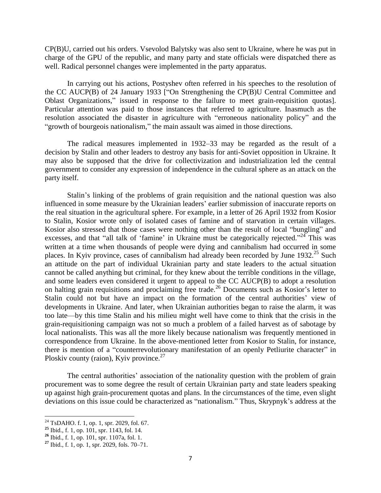CP(B)U, carried out his orders. Vsevolod Balytsky was also sent to Ukraine, where he was put in charge of the GPU of the republic, and many party and state officials were dispatched there as well. Radical personnel changes were implemented in the party apparatus.

In carrying out his actions, Postyshev often referred in his speeches to the resolution of the CC AUCP(B) of 24 January 1933 ["On Strengthening the CP(B)U Central Committee and Oblast Organizations," issued in response to the failure to meet grain-requisition quotas]. Particular attention was paid to those instances that referred to agriculture. Inasmuch as the resolution associated the disaster in agriculture with "erroneous nationality policy" and the "growth of bourgeois nationalism," the main assault was aimed in those directions.

The radical measures implemented in 1932–33 may be regarded as the result of a decision by Stalin and other leaders to destroy any basis for anti-Soviet opposition in Ukraine. It may also be supposed that the drive for collectivization and industrialization led the central government to consider any expression of independence in the cultural sphere as an attack on the party itself.

Stalin's linking of the problems of grain requisition and the national question was also influenced in some measure by the Ukrainian leaders' earlier submission of inaccurate reports on the real situation in the agricultural sphere. For example, in a letter of 26 April 1932 from Kosior to Stalin, Kosior wrote only of isolated cases of famine and of starvation in certain villages. Kosior also stressed that those cases were nothing other than the result of local "bungling" and excesses, and that "all talk of 'famine' in Ukraine must be categorically rejected."<sup>24</sup> This was written at a time when thousands of people were dying and cannibalism had occurred in some places. In Kyiv province, cases of cannibalism had already been recorded by June  $1932<sup>25</sup>$  Such an attitude on the part of individual Ukrainian party and state leaders to the actual situation cannot be called anything but criminal, for they knew about the terrible conditions in the village, and some leaders even considered it urgent to appeal to the CC AUCP(B) to adopt a resolution on halting grain requisitions and proclaiming free trade.<sup>26</sup> Documents such as Kosior's letter to Stalin could not but have an impact on the formation of the central authorities' view of developments in Ukraine. And later, when Ukrainian authorities began to raise the alarm, it was too late—by this time Stalin and his milieu might well have come to think that the crisis in the grain-requisitioning campaign was not so much a problem of a failed harvest as of sabotage by local nationalists. This was all the more likely because nationalism was frequently mentioned in correspondence from Ukraine. In the above-mentioned letter from Kosior to Stalin, for instance, there is mention of a "counterrevolutionary manifestation of an openly Petliurite character" in Ploskiv county (raion), Kyiv province.<sup>27</sup>

The central authorities' association of the nationality question with the problem of grain procurement was to some degree the result of certain Ukrainian party and state leaders speaking up against high grain-procurement quotas and plans. In the circumstances of the time, even slight deviations on this issue could be characterized as "nationalism." Thus, Skrypnyk's address at the

 $\overline{\phantom{a}}$ 

 $^{24}$  TsDAHO. f. 1, op. 1, spr. 2029, fol. 67.

**<sup>25</sup>** Ibid., f. 1, op. 101, spr. 1143, fol. 14.

**<sup>26</sup>** Ibid., f. 1, op. 101, spr. 1107a, fol. 1.

**<sup>27</sup>** Ibid., f. 1, op. 1, spr. 2029, fols. 70–71.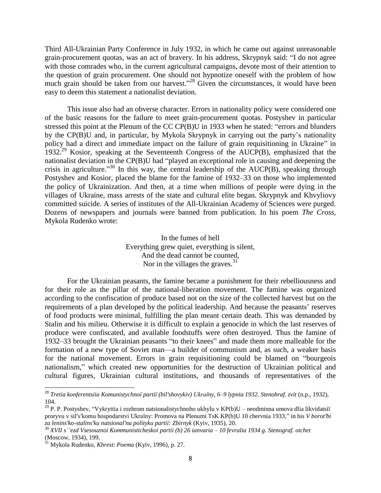Third All-Ukrainian Party Conference in July 1932, in which he came out against unreasonable grain-procurement quotas, was an act of bravery. In his address, Skrypnyk said: "I do not agree with those comrades who, in the current agricultural campaigns, devote most of their attention to the question of grain procurement. One should not hypnotize oneself with the problem of how much grain should be taken from our harvest."<sup>28</sup> Given the circumstances, it would have been easy to deem this statement a nationalist deviation.

This issue also had an obverse character. Errors in nationality policy were considered one of the basic reasons for the failure to meet grain-procurement quotas. Postyshev in particular stressed this point at the Plenum of the  $CC$   $CP(B)U$  in 1933 when he stated: "errors and blunders" by the CP(B)U and, in particular, by Mykola Skrypnyk in carrying out the party's nationality policy had a direct and immediate impact on the failure of grain requisitioning in Ukraine" in 1932.<sup>29</sup> Kosior, speaking at the Seventeenth Congress of the AUCP(B), emphasized that the nationalist deviation in the CP(B)U had "played an exceptional role in causing and deepening the crisis in agriculture.<sup>30</sup> In this way, the central leadership of the AUCP(B), speaking through Postyshev and Kosior, placed the blame for the famine of 1932–33 on those who implemented the policy of Ukrainization. And then, at a time when millions of people were dying in the villages of Ukraine, mass arrests of the state and cultural elite began. Skrypnyk and Khvyliovy committed suicide. A series of institutes of the All-Ukrainian Academy of Sciences were purged. Dozens of newspapers and journals were banned from publication. In his poem *The Cross,*  Mykola Rudenko wrote:

> In the fumes of hell Everything grew quiet, everything is silent, And the dead cannot be counted, Nor in the villages the graves.<sup>31</sup>

For the Ukrainian peasants, the famine became a punishment for their rebelliousness and for their role as the pillar of the national-liberation movement. The famine was organized according to the confiscation of produce based not on the size of the collected harvest but on the requirements of a plan developed by the political leadership. And because the peasants' reserves of food products were minimal, fulfilling the plan meant certain death. This was demanded by Stalin and his milieu. Otherwise it is difficult to explain a genocide in which the last reserves of produce were confiscated, and available foodstuffs were often destroyed. Thus the famine of 1932–33 brought the Ukrainian peasants "to their knees" and made them more malleable for the formation of a new type of Soviet man—a builder of communism and, as such, a weaker basis for the national movement. Errors in grain requisitioning could be blamed on "bourgeois" nationalism," which created new opportunities for the destruction of Ukrainian political and cultural figures, Ukrainian cultural institutions, and thousands of representatives of the

<sup>28</sup> *Tretia konferentsiia Komunistychnoї partiї (bilʹshovykiv) Ukraїny, 6–9 lypnia 1932. Stenohraf. zvit* (n.p., 1932), 104.

<sup>&</sup>lt;sup>29</sup> P. P. Postyshev, "Vykryttia i rozhrom natsionalistychnoho ukhylu v KP(b)U – neodminna umova dlia likvidatsiï proryvu v sil's'komu hospodarstvi Ukraïny: Promova na Plenumi TsK KP(b)U 10 chervnia 1933," in his *V borot'bi za leninsʹko-stalinsʹku natsionalʹnu polityku partiї: Zbirnyk* (Kyiv, 1935), 20.

<sup>30</sup> *XVII s''ezd Vsesouznoi Kommunisticheskoi partii (b) 26 ianvaria* – *10 fevralia 1934 g. Stenograf. otchet* (Moscow, 1934), 199.

<sup>31</sup> Mykola Rudenko, *Khrest*: *Poema* (Kyiv, 1996), p. 27.